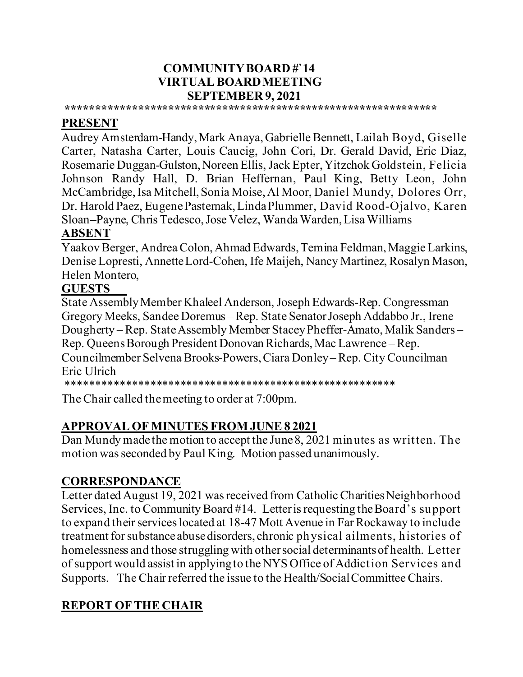#### **COMMUNITY BOARD #`14 VIRTUAL BOARD MEETING SEPTEMBER 9, 2021**

#### **\*\*\*\*\*\*\*\*\*\*\*\*\*\*\*\*\*\*\*\*\*\*\*\*\*\*\*\*\*\*\*\*\*\*\*\*\*\*\*\*\*\*\*\*\*\*\*\*\*\*\*\*\*\*\*\*\*\*\*\*\*\***

### **PRESENT**

Audrey Amsterdam-Handy,Mark Anaya, Gabrielle Bennett, Lailah Boyd, Giselle Carter, Natasha Carter, Louis Caucig, John Cori, Dr. Gerald David, Eric Diaz, Rosemarie Duggan-Gulston,Noreen Ellis, Jack Epter, Yitzchok Goldstein, Felicia Johnson Randy Hall, D. Brian Heffernan, Paul King, Betty Leon, John McCambridge, Isa Mitchell, Sonia Moise, Al Moor, Daniel Mundy, Dolores Orr, Dr. Harold Paez, Eugene Pasternak, Linda Plummer, David Rood-Ojalvo, Karen Sloan–Payne, Chris Tedesco, Jose Velez, Wanda Warden, Lisa Williams

### **ABSENT**

Yaakov Berger, Andrea Colon, Ahmad Edwards, Temina Feldman, Maggie Larkins, Denise Lopresti, Annette Lord-Cohen, Ife Maijeh, Nancy Martinez, Rosalyn Mason, Helen Montero,

#### **GUESTS**

State Assembly Member Khaleel Anderson, Joseph Edwards-Rep. Congressman Gregory Meeks, Sandee Doremus – Rep. State Senator Joseph Addabbo Jr., Irene Dougherty – Rep. State Assembly Member Stacey Pheffer-Amato, Malik Sanders – Rep. Queens Borough President Donovan Richards, Mac Lawrence –Rep. Councilmember Selvena Brooks-Powers,Ciara Donley – Rep. City Councilman Eric Ulrich

\*\*\*\*\*\*\*\*\*\*\*\*\*\*\*\*\*\*\*\*\*\*\*\*\*\*\*\*\*\*\*\*\*\*\*\*\*\*\*\*\*\*\*\*\*\*\*\*\*\*\*\*\*\*\*

The Chair called the meeting to order at 7:00pm.

# **APPROVAL OF MINUTES FROM JUNE 8 2021**

Dan Mundy made the motion to accept the June 8, 2021 minutes as written. The motion was seconded by Paul King. Motion passed unanimously.

# **CORRESPONDANCE**

Letter dated August 19, 2021 was received from Catholic Charities Neighborhood Services, Inc. to Community Board #14. Letter is requesting the Board's support to expand their services located at 18-47 Mott Avenue in Far Rockaway to include treatment for substance abuse disorders, chronic physical ailments, histories of homelessness and those struggling with other social determinants of health. Letter of support would assist in applying to the NYS Office of Addiction Services and Supports. The Chair referred the issue to the Health/Social Committee Chairs.

# **REPORT OF THE CHAIR**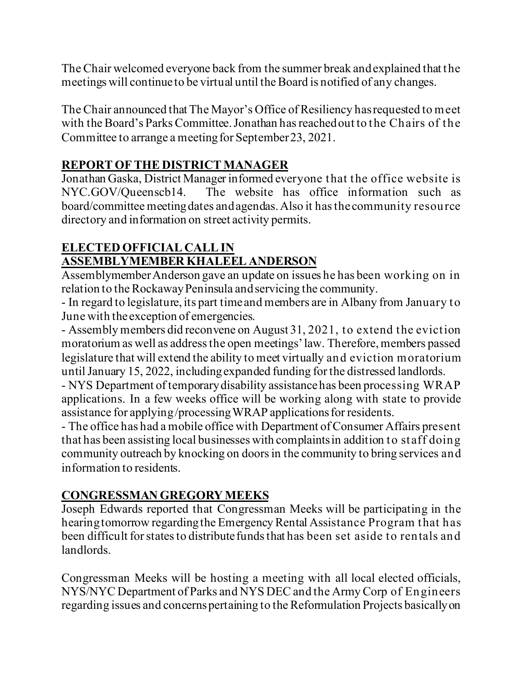The Chair welcomed everyone back from the summer break and explained that the meetings will continue to be virtual until the Board is notified of any changes.

The Chair announced that The Mayor's Office of Resiliency has requested to meet with the Board's Parks Committee.Jonathan has reached out to the Chairs of the Committee to arrange a meeting for September 23, 2021.

# **REPORT OF THE DISTRICT MANAGER**

Jonathan Gaska, District Manager informed everyone that the office website is NYC.GOV/Queenscb14. The website has office information such as board/committee meeting dates and agendas.Also it has the community resource directory and information on street activity permits.

## **ELECTED OFFICIAL CALL IN ASSEMBLYMEMBER KHALEEL ANDERSON**

Assemblymember Anderson gave an update on issues he has been working on in relation to the Rockaway Peninsula and servicing the community.

- In regard to legislature, its part time and members are in Albany from January to June with the exception of emergencies.

- Assembly members did reconvene on August 31, 2021, to extend the eviction moratorium as well as address the open meetings' law. Therefore, members passed legislature that will extend the ability to meet virtually and eviction moratorium until January 15, 2022, including expanded funding for the distressed landlords.

- NYS Department of temporary disability assistance has been processing WRAP applications. In a few weeks office will be working along with state to provide assistance for applying /processing WRAP applicationsfor residents.

- The office has had a mobile office with Department of Consumer Affairs present that has been assisting local businesses with complaints in addition to staff doing community outreach by knocking on doors in the community to bring services and information to residents.

# **CONGRESSMAN GREGORY MEEKS**

Joseph Edwards reported that Congressman Meeks will be participating in the hearing tomorrow regarding the Emergency Rental Assistance Program that has been difficult for states to distribute funds that has been set aside to rentals and landlords.

Congressman Meeks will be hosting a meeting with all local elected officials, NYS/NYC Department of Parks and NYS DEC and the Army Corp of Engineers regarding issues and concerns pertaining to the Reformulation Projects basically on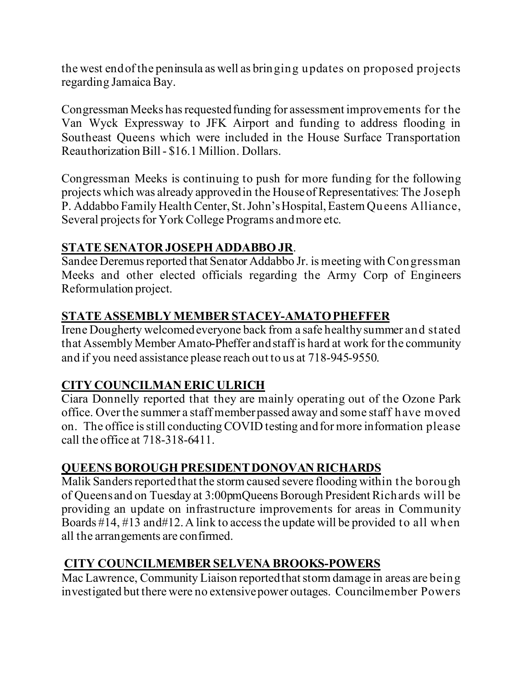the west end of the peninsula as well as bringing updates on proposed projects regarding Jamaica Bay.

Congressman Meeks has requested funding for assessment improvements for the Van Wyck Expressway to JFK Airport and funding to address flooding in Southeast Queens which were included in the House Surface Transportation Reauthorization Bill- \$16.1 Million. Dollars.

Congressman Meeks is continuing to push for more funding for the following projects which was already approved in the House of Representatives: The Joseph P. Addabbo Family Health Center, St. John's Hospital, Eastern Queens Alliance, Several projects for York College Programs and more etc.

### **STATE SENATOR JOSEPH ADDABBO JR**.

Sandee Deremus reported that Senator Addabbo Jr. is meeting with Congressman Meeks and other elected officials regarding the Army Corp of Engineers Reformulation project.

### **STATE ASSEMBLY MEMBER STACEY-AMATO PHEFFER**

Irene Dougherty welcomed everyone back from a safe healthy summer and stated that Assembly Member Amato-Pheffer and staff is hard at work for the community and if you need assistance please reach out to us at 718-945-9550.

### **CITY COUNCILMAN ERIC ULRICH**

Ciara Donnelly reported that they are mainly operating out of the Ozone Park office. Over the summer a staff member passed away and some staff have moved on. The office is still conducting COVID testing and for more information please call the office at 718-318-6411.

### **QUEENS BOROUGH PRESIDENT DONOVAN RICHARDS**

Malik Sanders reportedthat the storm caused severe flooding within the borough of Queens and on Tuesday at 3:00pmQueens Borough President Richards will be providing an update on infrastructure improvements for areas in Community Boards #14, #13 and#12. A link to access the update will be provided to all when all the arrangements are confirmed.

### **CITY COUNCILMEMBER SELVENA BROOKS-POWERS**

Mac Lawrence, Community Liaison reported that storm damage in areas are being investigated but there were no extensive power outages. Councilmember Powers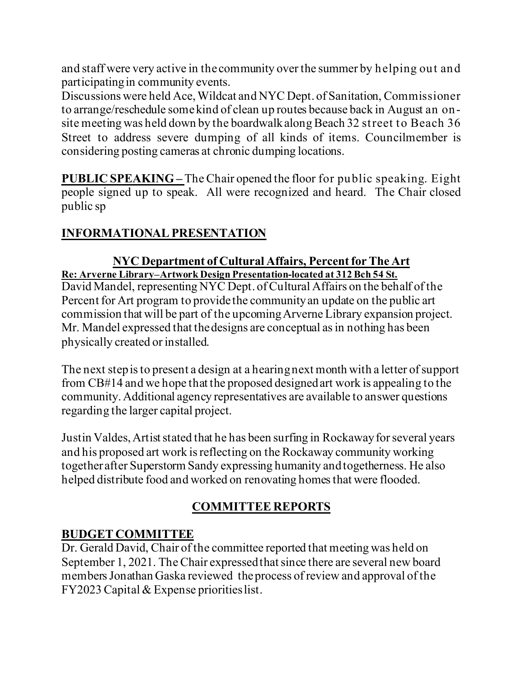and staff were very active in the community over the summer by helping out and participating in community events.

Discussions were held Ace, Wildcat and NYC Dept. of Sanitation, Commissioner to arrange/reschedule some kind of clean up routes because back in August an onsite meeting was held down by the boardwalk along Beach 32 street to Beach 36 Street to address severe dumping of all kinds of items. Councilmember is considering posting cameras at chronic dumping locations.

**PUBLIC SPEAKING –** The Chair opened the floor for public speaking. Eight people signed up to speak. All were recognized and heard. The Chair closed public sp

# **INFORMATIONAL PRESENTATION**

#### **NYC Department of Cultural Affairs, Percent for The Art Re: Arverne Library–Artwork Design Presentation-located at 312 Bch 54 St.**

David Mandel, representing NYC Dept. of Cultural Affairs on the behalf of the Percent for Art program to provide the community an update on the public art commission that will be part of the upcoming Arverne Library expansion project. Mr. Mandel expressed that the designs are conceptual as in nothing has been physically created or installed.

The next step is to present a design at a hearing next month with a letter of support from CB#14 and we hope that the proposed designed art work is appealing to the community. Additional agency representatives are available to answer questions regarding the larger capital project.

Justin Valdes, Artist stated that he has been surfing in Rockaway for several years and his proposed art work is reflecting on the Rockaway community working together after Superstorm Sandy expressing humanity and togetherness. He also helped distribute food and worked on renovating homes that were flooded.

# **COMMITTEE REPORTS**

### **BUDGET COMMITTEE**

Dr. Gerald David, Chair of the committee reported that meeting was held on September 1, 2021. The Chair expressed that since there are several new board members Jonathan Gaska reviewed the process of review and approval of the FY2023Capital & Expense priorities list.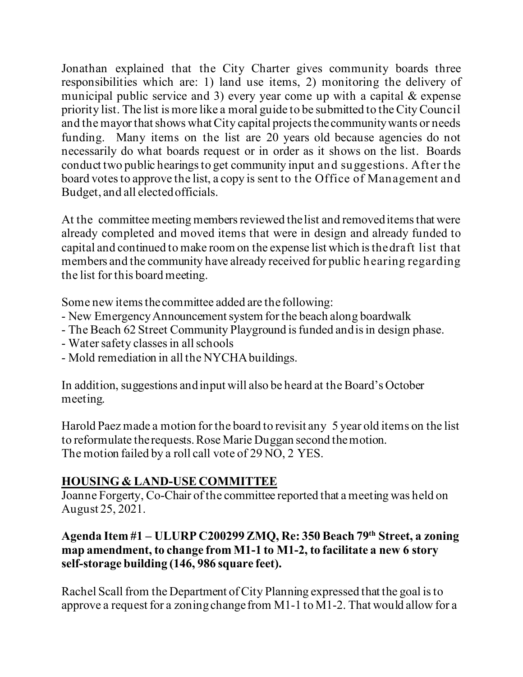Jonathan explained that the City Charter gives community boards three responsibilities which are: 1) land use items, 2) monitoring the delivery of municipal public service and 3) every year come up with a capital & expense priority list. The list is more like a moral guide to be submitted to the City Council and the mayor that shows what City capital projects the community wants or needs funding. Many items on the list are 20 years old because agencies do not necessarily do what boards request or in order as it shows on the list. Boards conduct two public hearings to get community input and suggestions. After the board votes to approve the list, a copy is sent to the Office of Management and Budget, and all elected officials.

At the committee meeting members reviewed the list and removed items that were already completed and moved items that were in design and already funded to capital and continued to make room on the expense list which is the draft list that members and the community have already received for public hearing regarding the list for this board meeting.

Some new items the committee added are the following:

- New Emergency Announcement system for the beach along boardwalk
- The Beach 62 Street Community Playground is funded and is in design phase.
- Water safety classes in all schools
- Mold remediation in all the NYCHA buildings.

In addition, suggestions and input will also be heard at the Board's October meeting.

Harold Paez made a motion for the board to revisit any 5 year old items on the list to reformulate the requests. Rose Marie Duggan second the motion. The motion failed by a roll call vote of 29 NO, 2 YES.

# **HOUSING & LAND-USE COMMITTEE**

Joanne Forgerty, Co-Chair of the committee reported that a meeting was held on August 25, 2021.

### **Agenda Item #1 – ULURP C200299 ZMQ, Re: 350 Beach 79th Street, a zoning map amendment, to change from M1-1 to M1-2, to facilitate a new 6 story self-storage building (146, 986 square feet).**

Rachel Scall from the Department of City Planning expressed that the goal is to approve a request for a zoning change from M1-1 to M1-2. That would allow for a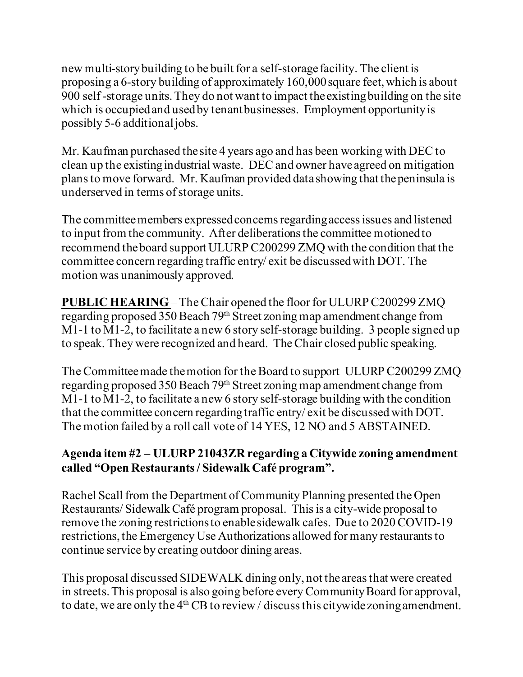new multi-story building to be built for a self-storage facility. The client is proposing a 6-story building of approximately 160,000square feet, which is about 900 self -storage units. They do not want to impact the existing building on the site which is occupied and used by tenant businesses. Employment opportunity is possibly 5-6 additional jobs.

Mr. Kaufman purchased the site 4 years ago and has been working with DEC to clean up the existing industrial waste. DEC and owner have agreed on mitigation plans to move forward. Mr. Kaufman provided data showing that the peninsula is underserved in terms of storage units.

The committee members expressed concerns regarding access issues and listened to input from the community. After deliberations the committee motioned to recommend the board support ULURP C200299 ZMQ with the condition that the committee concern regarding traffic entry/ exit be discussed with DOT. The motion was unanimously approved.

**PUBLIC HEARING** – The Chair opened the floor for ULURP C200299 ZMQ regarding proposed 350 Beach 79<sup>th</sup> Street zoning map amendment change from M1-1 to M1-2, to facilitate a new 6 story self-storage building. 3 people signed up to speak. They were recognized and heard. The Chair closed public speaking.

The Committee made the motion for the Board to support ULURP C200299 ZMQ regarding proposed 350 Beach 79<sup>th</sup> Street zoning map amendment change from M1-1 to M1-2, to facilitate a new 6 story self-storage building with the condition that the committee concern regarding traffic entry/ exit be discussed with DOT. The motion failed by a roll call vote of 14 YES, 12 NO and 5 ABSTAINED.

### **Agenda item #2 – ULURP 21043ZR regarding a Citywide zoning amendment called "Open Restaurants / Sidewalk Café program".**

Rachel Scall from the Department of Community Planning presented the Open Restaurants/ Sidewalk Café program proposal. This is a city-wide proposal to remove the zoning restrictions to enable sidewalk cafes. Due to 2020 COVID-19 restrictions, the Emergency Use Authorizations allowed for many restaurants to continue service by creating outdoor dining areas.

This proposal discussed SIDEWALK dining only, not the areas that were created in streets. This proposal is also going before every Community Board for approval, to date, we are only the  $4<sup>th</sup>$  CB to review / discuss this citywide zoning amendment.